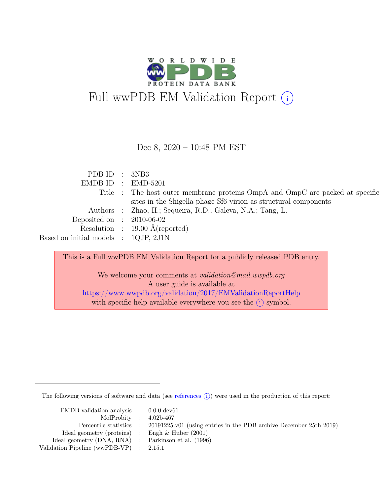

Dec 8, 2020 – 10:48 PM EST

PDB ID : 3NB3 EMDB ID : EMD-5201 Title : The host outer membrane proteins OmpA and OmpC are packed at specific sites in the Shigella phage Sf6 virion as structural components Authors : Zhao, H.; Sequeira, R.D.; Galeva, N.A.; Tang, L. Deposited on : 2010-06-02 Resolution : 19.00 Å(reported) Based on initial models : 1QJP, 2J1N

This is a Full wwPDB EM Validation Report for a publicly released PDB entry.

We welcome your comments at validation@mail.wwpdb.org A user guide is available at <https://www.wwpdb.org/validation/2017/EMValidationReportHelp> with specific help available everywhere you see the  $(i)$  symbol.

The following versions of software and data (see [references](https://www.wwpdb.org/validation/2017/EMValidationReportHelp#references)  $(i)$ ) were used in the production of this report:

| EMDB validation analysis $\therefore$ 0.0.0.dev61   |                                                                                            |
|-----------------------------------------------------|--------------------------------------------------------------------------------------------|
| MolProbity : $4.02b-467$                            |                                                                                            |
|                                                     | Percentile statistics : 20191225.v01 (using entries in the PDB archive December 25th 2019) |
| Ideal geometry (proteins) : Engh $\&$ Huber (2001)  |                                                                                            |
| Ideal geometry (DNA, RNA) : Parkinson et al. (1996) |                                                                                            |
| Validation Pipeline (wwPDB-VP) : $2.15.1$           |                                                                                            |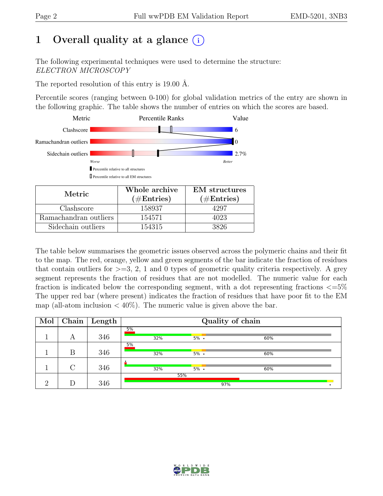## 1 Overall quality at a glance  $(i)$

The following experimental techniques were used to determine the structure: ELECTRON MICROSCOPY

The reported resolution of this entry is 19.00 Å.

Percentile scores (ranging between 0-100) for global validation metrics of the entry are shown in the following graphic. The table shows the number of entries on which the scores are based.



| Metric.               | Whole archive<br>$(\#Entries)$ | <b>EM</b> structures<br>$(\#Entries)$ |  |  |
|-----------------------|--------------------------------|---------------------------------------|--|--|
| Clashscore            | 158937                         | 4297                                  |  |  |
| Ramachandran outliers | 154571                         | 4023                                  |  |  |
| Sidechain outliers    | 154315                         | 3826                                  |  |  |

The table below summarises the geometric issues observed across the polymeric chains and their fit to the map. The red, orange, yellow and green segments of the bar indicate the fraction of residues that contain outliers for  $\geq$ =3, 2, 1 and 0 types of geometric quality criteria respectively. A grey segment represents the fraction of residues that are not modelled. The numeric value for each fraction is indicated below the corresponding segment, with a dot representing fractions  $\epsilon = 5\%$ The upper red bar (where present) indicates the fraction of residues that have poor fit to the EM map (all-atom inclusion  $\langle 40\% \rangle$ ). The numeric value is given above the bar.

| Mol      |        | Chain   Length | Quality of chain |         |     |  |  |  |
|----------|--------|----------------|------------------|---------|-----|--|--|--|
|          | А      | 346            | 5%<br>32%        | $5\%$ . | 60% |  |  |  |
|          | Β      | 346            | 5%<br>32%        | $5\%$ . | 60% |  |  |  |
|          | $\cap$ | 346            | 32%              | $5\%$ . | 60% |  |  |  |
| $\Omega$ |        | 346            |                  | 55%     | 97% |  |  |  |

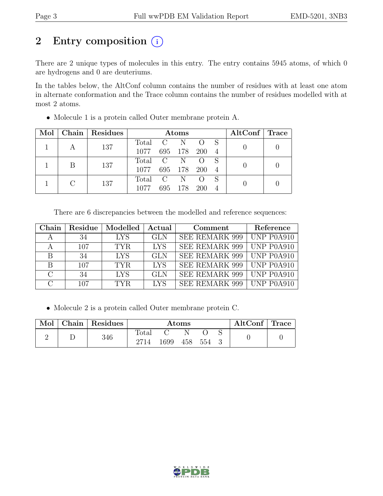## 2 Entry composition (i)

There are 2 unique types of molecules in this entry. The entry contains 5945 atoms, of which 0 are hydrogens and 0 are deuteriums.

In the tables below, the AltConf column contains the number of residues with at least one atom in alternate conformation and the Trace column contains the number of residues modelled with at most 2 atoms.

| Mol |   | Chain Residues | <b>Atoms</b>      |  |                  |                |  | $\mathrm{AltConf} \mid \mathrm{Trace}$ |  |
|-----|---|----------------|-------------------|--|------------------|----------------|--|----------------------------------------|--|
|     | A | 137            | Total C N<br>1077 |  | 695 178 200 4    | $\overline{O}$ |  |                                        |  |
|     | B | 137            | Total C N<br>1077 |  | 695 178 200      |                |  |                                        |  |
|     |   | 137            | Total C<br>1077   |  | N<br>695 178 200 |                |  |                                        |  |

• Molecule 1 is a protein called Outer membrane protein A.

There are 6 discrepancies between the modelled and reference sequences:

| Chain                 | Residue | Modelled | Actual     | Comment               | Reference  |
|-----------------------|---------|----------|------------|-----------------------|------------|
|                       | 34      | LYS.     | <b>GLN</b> | <b>SEE REMARK 999</b> | UNP P0A910 |
| A                     | 107     | TYR.     | <b>LYS</b> | <b>SEE REMARK 999</b> | UNP P0A910 |
| B                     | 34      | LYS.     | <b>GLN</b> | <b>SEE REMARK 999</b> | UNP P0A910 |
| B                     | 107     | TYR.     | <b>LYS</b> | <b>SEE REMARK 999</b> | UNP P0A910 |
| $\mathcal{C}_{\cdot}$ | 34      | LYS.     | <b>GLN</b> | <b>SEE REMARK 999</b> | UNP P0A910 |
| $\cap$                | 107     | TYR.     | <b>LYS</b> | SEE REMARK 999        | UNP P0A910 |

• Molecule 2 is a protein called Outer membrane protein C.

| Mol | $ $ Chain $ $ Residues | Atoms         |      |         |  |  | $\mathrm{AltConf} \mid \mathrm{Trace}$ |  |
|-----|------------------------|---------------|------|---------|--|--|----------------------------------------|--|
|     | 346                    | Total<br>2714 | 1699 | 458 554 |  |  |                                        |  |

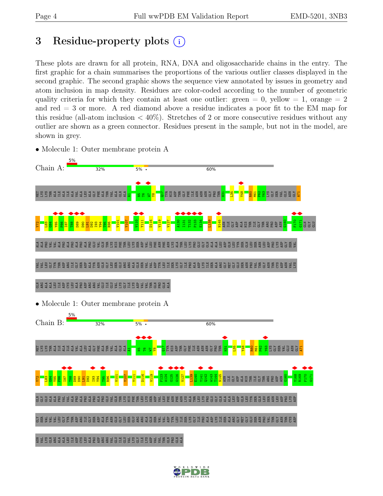## <span id="page-3-0"></span>3 Residue-property plots  $(i)$

These plots are drawn for all protein, RNA, DNA and oligosaccharide chains in the entry. The first graphic for a chain summarises the proportions of the various outlier classes displayed in the second graphic. The second graphic shows the sequence view annotated by issues in geometry and atom inclusion in map density. Residues are color-coded according to the number of geometric quality criteria for which they contain at least one outlier: green  $= 0$ , yellow  $= 1$ , orange  $= 2$ and red  $=$  3 or more. A red diamond above a residue indicates a poor fit to the EM map for this residue (all-atom inclusion  $\langle 40\% \rangle$ ). Stretches of 2 or more consecutive residues without any outlier are shown as a green connector. Residues present in the sample, but not in the model, are shown in grey.

• Molecule 1: Outer membrane protein A



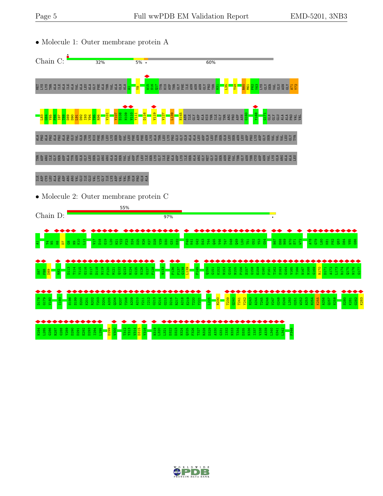

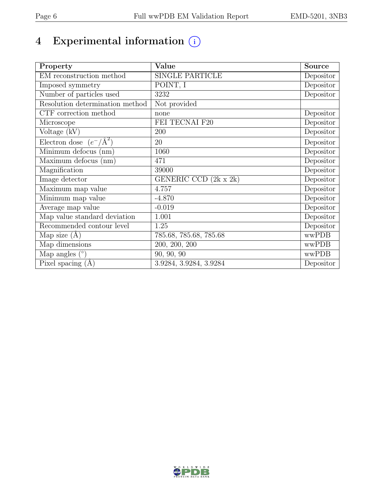# 4 Experimental information  $\bigcirc$

| Property                           | Value                  | Source                         |
|------------------------------------|------------------------|--------------------------------|
| EM reconstruction method           | <b>SINGLE PARTICLE</b> | Depositor                      |
| Imposed symmetry                   | POINT, I               | Depositor                      |
| Number of particles used           | 3232                   | Depositor                      |
| Resolution determination method    | Not provided           |                                |
| CTF correction method              | none                   | Depositor                      |
| Microscope                         | FEI TECNAI F20         | Depositor                      |
| Voltage (kV)                       | 200                    | Depositor                      |
| Electron dose $(e^-/\text{\AA}^2)$ | 20                     | Depositor                      |
| Minimum defocus (nm)               | 1060                   | Depositor                      |
| Maximum defocus (nm)               | 471                    | Depositor                      |
| Magnification                      | 39000                  | Depositor                      |
| Image detector                     | GENERIC CCD (2k x 2k)  | Depositor                      |
| Maximum map value                  | 4.757                  | Depositor                      |
| Minimum map value                  | $-4.870$               | Depositor                      |
| Average map value                  | $-0.019$               | Depositor                      |
| Map value standard deviation       | 1.001                  | $\overline{\text{De}}$ positor |
| Recommended contour level          | 1.25                   | Depositor                      |
| Map size $(A)$                     | 785.68, 785.68, 785.68 | wwPDB                          |
| Map dimensions                     | 200, 200, 200          | wwPDB                          |
| Map angles $(°)$                   | 90, 90, 90             | wwPDB                          |
| Pixel spacing $(A)$                | 3.9284, 3.9284, 3.9284 | Depositor                      |

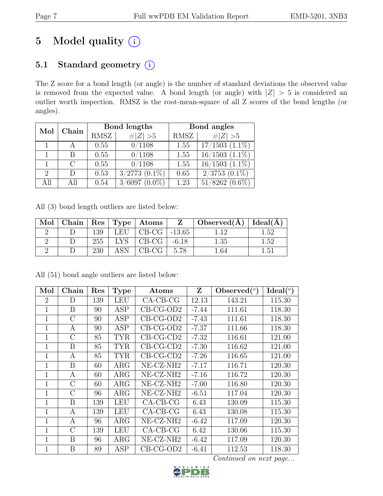# 5 Model quality  $(i)$

## 5.1 Standard geometry  $(i)$

The Z score for a bond length (or angle) is the number of standard deviations the observed value is removed from the expected value. A bond length (or angle) with  $|Z| > 5$  is considered an outlier worth inspection. RMSZ is the root-mean-square of all Z scores of the bond lengths (or angles).

| Mol                         | Chain         |      | Bond lengths        | Bond angles |                     |  |
|-----------------------------|---------------|------|---------------------|-------------|---------------------|--|
|                             |               | RMSZ | $\ Z\  > 5$         | RMSZ        | $\# Z  > 5$         |  |
|                             |               | 0.55 | 0/1108              | 1.55        | $17/1503$ $(1.1\%)$ |  |
|                             | В             | 0.55 | 0/1108              | 1.55        | $16/1503$ $(1.1\%)$ |  |
|                             | $\mathcal{C}$ | 0.55 | 0/1108              | 1.55        | $16/1503$ $(1.1\%)$ |  |
| $\mathcal{D}_{\mathcal{L}}$ | D             | 0.53 | $3/2773$ $(0.1\%)$  | 0.65        | $2/3753$ $(0.1\%)$  |  |
| All                         | All           | 0.54 | 3/6097<br>$(0.0\%)$ | 1.23        | $51/8262$ $(0.6\%)$ |  |

All (3) bond length outliers are listed below:

| Mol | Chain |     |            | $\vert$ Res $\vert$ Type $\vert$ Atoms $\vert$ | $Z \quad \vert$ | $\vert$ Observed( $\AA$ ) $\vert$ Ideal( $\AA$ ) |      |
|-----|-------|-----|------------|------------------------------------------------|-----------------|--------------------------------------------------|------|
|     |       | 139 |            | LEU $\vert$ CB-CG $\vert$ -13.65               |                 |                                                  | 1.52 |
|     |       | 255 | LYS .      | CB-CG                                          | $-6.18$         | 1.35                                             | 1.52 |
|     |       | 230 | <b>ASN</b> | $CB-CG$                                        | 5.78            | l.64                                             | 1.51 |

|  |  | All (51) bond angle outliers are listed below: |  |  |
|--|--|------------------------------------------------|--|--|
|  |  |                                                |  |  |

| Mol            | Chain          | Res | <b>Type</b> | Atoms                 | Z       | Observed $(°)$ | Ideal <sup>(o)</sup> |
|----------------|----------------|-----|-------------|-----------------------|---------|----------------|----------------------|
| $\overline{2}$ | D              | 139 | <b>LEU</b>  | $CA-CB-CG$            | 12.13   | 143.21         | 115.30               |
| $\mathbf 1$    | B              | 90  | <b>ASP</b>  | $CB-CG-OD2$           | $-7.44$ | 111.61         | 118.30               |
| $\mathbf 1$    | $\mathcal{C}$  | 90  | <b>ASP</b>  | $CB-CG-OD2$           | $-7.43$ | 111.61         | 118.30               |
| $\mathbf 1$    | A              | 90  | <b>ASP</b>  | $CB-CG-OD2$           | $-7.37$ | 111.66         | 118.30               |
| $\mathbf 1$    | C              | 85  | TYR         | $CB-CG-CD2$           | $-7.32$ | 116.61         | 121.00               |
| $\mathbf 1$    | B              | 85  | <b>TYR</b>  | $CB-CG-CD2$           | $-7.30$ | 116.62         | 121.00               |
| $\mathbf{1}$   | А              | 85  | <b>TYR</b>  | $CB-CG-CD2$           | $-7.26$ | 116.65         | 121.00               |
| $\mathbf{1}$   | B              | 60  | $\rm{ARG}$  | NE-CZ-NH <sub>2</sub> | $-7.17$ | 116.71         | 120.30               |
| $\mathbf{1}$   | А              | 60  | $\rm{ARG}$  | NE-CZ-NH2             | $-7.16$ | 116.72         | 120.30               |
| $\mathbf{1}$   | $\overline{C}$ | 60  | $\rm{ARG}$  | NE-CZ-NH2             | $-7.00$ | 116.80         | 120.30               |
| 1              | $\mathcal{C}$  | 96  | $\rm{ARG}$  | NE-CZ-NH <sub>2</sub> | $-6.51$ | 117.04         | 120.30               |
| 1              | B              | 139 | <b>LEU</b>  | $CA-CB-CG$            | 6.43    | 130.09         | 115.30               |
| $\mathbf{1}$   | A              | 139 | <b>LEU</b>  | $CA-CB-CG$            | 6.43    | 130.08         | 115.30               |
| $\mathbf{1}$   | А              | 96  | $\rm{ARG}$  | NE-CZ-NH2             | $-6.42$ | 117.09         | 120.30               |
| 1              | $\rm C$        | 139 | <b>LEU</b>  | $CA-CB-CG$            | 6.42    | 130.06         | 115.30               |
| $\overline{1}$ | B              | 96  | $\rm{ARG}$  | NE-CZ-NH <sub>2</sub> | $-6.42$ | 117.09         | 120.30               |
| 1              | Β              | 89  | ASP         | $CB-CG-OD2$           | $-6.41$ | 112.53         | 118.30               |

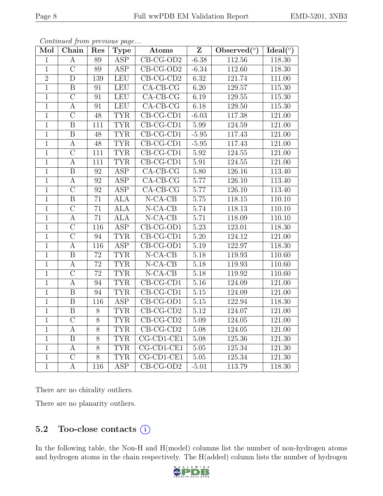| Mol            | Chain                   | Res              | Type                    | Atoms                          | $\overline{\mathbf{Z}}$ | Observed $\overline{(^{\circ})}$ | Ideal(°)            |
|----------------|-------------------------|------------------|-------------------------|--------------------------------|-------------------------|----------------------------------|---------------------|
| $\mathbf 1$    | А                       | 89               | <b>ASP</b>              | $CB-CG-OD2$                    | $-6.38$                 | 112.56                           | 118.30              |
| $\overline{1}$ | $\overline{C}$          | $\overline{89}$  | $\overline{\text{ASP}}$ | $CB-CG-OD2$                    | $-6.34$                 | 112.60                           | 118.30              |
| $\overline{2}$ | $\overline{D}$          | 139              | <b>LEU</b>              | $CB-CG-CD2$                    | 6.32                    | 121.74                           | 111.00              |
| $\overline{1}$ | $\, {\bf B}$            | 91               | <b>LEU</b>              | $CA-CB-CG$                     | 6.20                    | 129.57                           | 115.30              |
| $\mathbf{1}$   | $\overline{\rm C}$      | 91               | <b>LEU</b>              | $CA-CB-CG$                     | 6.19                    | 129.55                           | $115.\overline{30}$ |
| $\mathbf{1}$   | $\boldsymbol{A}$        | 91               | LEU                     | $CA-CB-CG$                     | 6.18                    | 129.50                           | 115.30              |
| $\overline{1}$ | $\overline{C}$          | 48               | <b>TYR</b>              | $CB-CG-CD1$                    | $-6.03$                 | 117.38                           | 121.00              |
| $\overline{1}$ | $\overline{B}$          | 111              | <b>TYR</b>              | $CB-CG-CD1$                    | 5.99                    | 124.59                           | 121.00              |
| $\mathbf{1}$   | $\, {\bf B}$            | 48               | <b>TYR</b>              | $\overline{\text{CB-CG-CD1}}$  | $-5.95$                 | 117.43                           | 121.00              |
| $\overline{1}$ | $\overline{A}$          | $\overline{48}$  | <b>TYR</b>              | $CB-CG-CD1$                    | $-5.95$                 | 117.43                           | 121.00              |
| $\overline{1}$ | $\overline{C}$          | $\overline{111}$ | <b>TYR</b>              | $CB-CG-CD1$                    | 5.92                    | 124.55                           | 121.00              |
| $\overline{1}$ | $\boldsymbol{A}$        | 111              | <b>TYR</b>              | $CB-CG-CD1$                    | 5.91                    | 124.55                           | 121.00              |
| $\overline{1}$ | $\, {\bf B}$            | 92               | <b>ASP</b>              | $CA-CB-CG$                     | 5.80                    | 126.16                           | 113.40              |
| $\mathbf{1}$   | $\boldsymbol{A}$        | 92               | ASP                     | $CA$ -CB-CG                    | 5.77                    | 126.10                           | 113.40              |
| $\overline{1}$ | $\overline{C}$          | $\overline{92}$  | $\overline{\text{ASP}}$ | $CA-CB-CG$                     | 5.77                    | 126.10                           | 113.40              |
| $\overline{1}$ | $\overline{B}$          | 71               | <b>ALA</b>              | $N-CA-CB$                      | 5.75                    | 118.15                           | 110.10              |
| $\mathbf{1}$   | $\overline{C}$          | 71               | $\overline{\text{ALA}}$ | $N-CA-CB$                      | 5.74                    | 118.13                           | 110.10              |
| $\mathbf{1}$   | A                       | 71               | ALA                     | $N$ -CA-CB                     | 5.71                    | 118.09                           | 110.10              |
| $\mathbf{1}$   | $\overline{C}$          | 116              | ASP                     | $CB-CG-OD1$                    | $\overline{5.23}$       | 123.01                           | 118.30              |
| $\overline{1}$ | $\overline{C}$          | 94               | <b>TYR</b>              | $CB-CG-CD1$                    | $\overline{5.20}$       | 124.12                           | 121.00              |
| $\mathbf{1}$   | $\boldsymbol{A}$        | 116              | <b>ASP</b>              | CB-CG-OD1                      | 5.19                    | 122.97                           | 118.30              |
| $\overline{1}$ | $\overline{\mathrm{B}}$ | $\overline{72}$  | <b>TYR</b>              | $N-CA-CB$                      | $\overline{5.18}$       | 119.93                           | 110.60              |
| $\mathbf{1}$   | $\boldsymbol{A}$        | 72               | <b>TYR</b>              | $N$ -CA-CB                     | 5.18                    | 119.93                           | 110.60              |
| $\overline{1}$ | $\overline{\rm C}$      | $\overline{72}$  | <b>TYR</b>              | $N$ -CA-CB                     | 5.18                    | 119.92                           | 110.60              |
| $\overline{1}$ | $\overline{A}$          | 94               | <b>TYR</b>              | $CB-CG-CD1$                    | 5.16                    | 124.09                           | 121.00              |
| $\mathbf{1}$   | $\boldsymbol{B}$        | 94               | <b>TYR</b>              | CB-CG-CD1                      | $5.15\,$                | 124.09                           | 121.00              |
| $\overline{1}$ | $\overline{\mathbf{B}}$ | 116              | <b>ASP</b>              | $CB-CG-OD1$                    | $\overline{5.15}$       | 122.94                           | 118.30              |
| $\overline{1}$ | $\overline{B}$          | $8\,$            | <b>TYR</b>              | $CB-CG-CD2$                    | 5.12                    | 124.07                           | 121.00              |
| $\overline{1}$ | $\overline{C}$          | $\overline{8}$   | <b>TYR</b>              | $CB-CG-CD2$                    | 5.09                    | 124.05                           | 121.00              |
| $\mathbf 1$    | $\boldsymbol{A}$        | $8\,$            | <b>TYR</b>              | $CB-CG-CD2$                    | 5.08                    | 124.05                           | 121.00              |
| $\overline{1}$ | $\, {\bf B}$            | $\overline{8}$   | <b>TYR</b>              | $\overline{\text{CG-CD1-CE1}}$ | 5.08                    | 125.36                           | $121.\overline{30}$ |
| $\overline{1}$ | $\mathbf{A}$            | $\overline{8}$   | <b>TYR</b>              | $CG-CD1-CE1$                   | 5.05                    | 125.34                           | 121.30              |
| $\mathbf{1}$   | $\mathcal{C}$           | 8                | <b>TYR</b>              | CG-CD1-CE1                     | $5.05\,$                | 125.34                           | 121.30              |
| $\overline{1}$ | $\overline{A}$          | $\overline{116}$ | $\overline{\text{ASP}}$ | $CB-CG-OD2$                    | $-5.01$                 | 113.79                           | 118.30              |

Continued from previous page...

There are no chirality outliers.

There are no planarity outliers.

### 5.2 Too-close contacts  $(i)$

In the following table, the Non-H and H(model) columns list the number of non-hydrogen atoms and hydrogen atoms in the chain respectively. The H(added) column lists the number of hydrogen

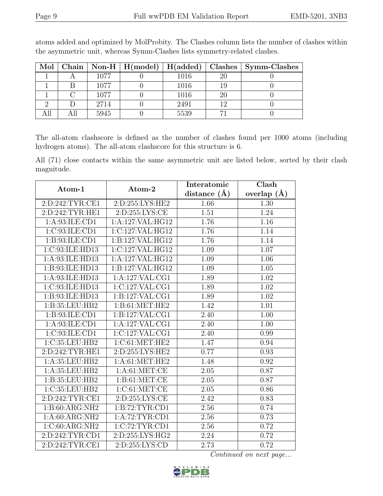|  |      |      |    | Mol   Chain   Non-H   H(model)   H(added)   Clashes   Symm-Clashes |
|--|------|------|----|--------------------------------------------------------------------|
|  | 1077 | 1016 | 20 |                                                                    |
|  | 1077 | 1016 | 19 |                                                                    |
|  | 1077 | 1016 | 20 |                                                                    |
|  | 2714 | 2491 | 12 |                                                                    |
|  | 5945 | 5539 |    |                                                                    |

atoms added and optimized by MolProbity. The Clashes column lists the number of clashes within the asymmetric unit, whereas Symm-Clashes lists symmetry-related clashes.

The all-atom clashscore is defined as the number of clashes found per 1000 atoms (including hydrogen atoms). The all-atom clashscore for this structure is 6.

All (71) close contacts within the same asymmetric unit are listed below, sorted by their clash magnitude.

|                                |                     | Interatomic      | Clash             |
|--------------------------------|---------------------|------------------|-------------------|
| Atom-1                         | Atom-2              | distance $(\AA)$ | overlap $(A)$     |
| 2:D:242:TYR:CE1                | 2:D:255:LYS:HE2     | 1.66             | 1.30              |
| 2:D:242:TYR:HE1                | 2:D:255:LYS:CE      | 1.51             | 1.24              |
| 1:A:93:ILE:CD1                 | 1:A:127:VAL:HG12    | 1.76             | 1.16              |
| 1:C:93:ILE:CD1                 | 1:C:127:VAL:HG12    | 1.76             | 1.14              |
| 1: B: 93: ILE: CD1             | 1:B:127:VAL:HG12    | 1.76             | 1.14              |
| 1:C:93:ILE:HD13                | 1:C:127:VAL:HG12    | 1.09             | 1.07              |
| 1:A:93:ILE:HD13                | 1:A:127:VAL:HG12    | 1.09             | $\overline{1.06}$ |
| 1:B:93:ILE:HD13                | 1:B:127:VAL:HG12    | 1.09             | 1.05              |
| 1:A:93:ILE:HD13                | 1:A:127:VAL:CG1     | 1.89             | 1.02              |
| $1:C:93:\overline{ILE:HD13}$   | 1:C:127:VAL:CG1     | 1.89             | $\overline{1.02}$ |
| 1:B:93:ILE:HD13                | 1:B:127:VAL:CG1     | 1.89             | 1.02              |
| 1:B:35:LEU:HB2                 | 1: B: 61: MET: HE2  | 1.42             | 1.01              |
| $1: B:93: ILE: \overline{CD1}$ | 1:B:127:VAL:CG1     | 2.40             | 1.00              |
| 1: A:93: ILE: CD1              | 1:A:127:VAL:CG1     | 2.40             | 1.00              |
| 1:C:93:ILE:CD1                 | 1:C:127:VAL:CG1     | 2.40             | 0.99              |
| 1:C:35:LEU:HB2                 | 1:C:61:MET:HE2      | 1.47             | 0.94              |
| 2:D:242:TYR:HE1                | 2:D:255:LYS:HE2     | 0.77             | 0.93              |
| 1:A:35:LEU:HB2                 | 1: A:61: MET:HE2    | 1.48             | 0.92              |
| 1:A:35:LEU:HB2                 | 1: A:61: MET:CE     | 2.05             | 0.87              |
| 1:B:35:LEU:HB2                 | 1: B: 61: MET: CE   | 2.05             | 0.87              |
| 1:C:35:LEU:HB2                 | 1:C:61:MET:CE       | 2.05             | 0.86              |
| 2:D:242:TYR:CE1                | 2: D: 255: LYS: CE  | 2.42             | 0.83              |
| 1:B:60:ARG:NH2                 | 1: B:72: TYR: CD1   | 2.56             | 0.74              |
| 1: A:60: ARG:NH2               | 1:A:72:TYR:CD1      | 2.56             | 0.73              |
| 1:C:60:ARG:NH2                 | 1:C:72:TYR:CD1      | 2.56             | 0.72              |
| 2:D:242:TYR:CD1                | 2: D: 255: LYS: HG2 | 2.24             | 0.72              |
| 2:D:242:TYR:CE1                | 2: D: 255: LYS: CD  | 2.73             | 0.72              |

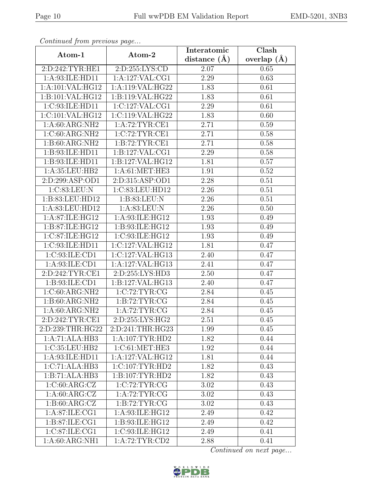| EMD-5201, 3NB3 |  |
|----------------|--|
|----------------|--|

| Continuati jibin protibus puga |                     | Interatomic    | $\overline{\text{Clash}}$ |  |
|--------------------------------|---------------------|----------------|---------------------------|--|
| Atom-1                         | Atom-2              | distance $(A)$ | overlap $(A)$             |  |
| 2:D:242:TYR:HE1                | 2:D:255:LYS:CD      | 2.07           | 0.65                      |  |
| 1: A:93: ILE: HD11             | 1: A: 127: VAL: CG1 | 2.29           | 0.63                      |  |
| 1:A:101:VAL:HG12               | 1:A:119:VAL:HG22    | 1.83           | 0.61                      |  |
| 1:B:101:VAL:HG12               | 1:B:119:VAL:HG22    | 1.83           | 0.61                      |  |
| 1:C:93:ILE:HD11                | 1:C:127:VAL:CG1     | 2.29           | 0.61                      |  |
| 1:C:101:VAL:HG12               | 1:C:119:VAL:HG22    | 1.83           | 0.60                      |  |
| 1:A:60:ARG:NH2                 | 1:A:72:TYR:CE1      | 2.71           | 0.59                      |  |
| 1:C:60:ARG:NH2                 | 1:C:72:TYR:CE1      | 2.71           | 0.58                      |  |
| $1:B:60:ARG:\overline{NH2}$    | 1: B:72: TYR: CE1   | 2.71           | 0.58                      |  |
| 1:B:93:ILE:HD11                | 1:B:127:VAL:CG1     | 2.29           | 0.58                      |  |
| 1:B:93:ILE:HD11                | 1:B:127:VAL:HG12    | 1.81           | 0.57                      |  |
| 1:A:35:LEU:HB2                 | 1: A:61: MET:HE3    | 1.91           | 0.52                      |  |
| 2:D:299:ASP:OD1                | 2:D:315:ASP:OD1     | 2.28           | 0.51                      |  |
| 1:C:83:LEU:N                   | 1:C:83:LEU:HD12     | 2.26           | 0.51                      |  |
| 1:B:83:LEU:HD12                | 1:B:83:LEU:N        | 2.26           | 0.51                      |  |
| 1:A:83:LEU:HD12                | 1: A:83:LEU: N      | 2.26           | 0.50                      |  |
| 1:A:87:ILE:HG12                | 1:A:93:ILE:HG12     | 1.93           | 0.49                      |  |
| 1:B:87:ILE:HG12                | 1:B:93:ILE:HG12     | 1.93           | 0.49                      |  |
| 1:C:87:ILE:HG12                | 1:C:93:ILE:HG12     | 1.93           | 0.49                      |  |
| 1:C:93:ILE:HD11                | 1:C:127:VAL:HG12    | 1.81           | 0.47                      |  |
| 1:C:93:ILE:CD1                 | 1:C:127:VAL:HG13    | 2.40           | 0.47                      |  |
| 1: A:93: ILE: CD1              | 1:A:127:VAL:HG13    | 2.41           | 0.47                      |  |
| 2:D:242:TYR:CE1                | 2:D:255:LYS:HD3     | 2.50           | 0.47                      |  |
| 1:B:93:ILE:CD1                 | 1:B:127:VAL:HG13    | 2.40           | 0.47                      |  |
| 1:C:60:ARG:NH2                 | 1:C:72:TYR:CG       | 2.84           | 0.45                      |  |
| 1:B:60:ARG:NH2                 | 1: B: 72: TYR: CG   | 2.84           | 0.45                      |  |
| 1:A:60:ARG:NH2                 | 1: A:72:TYR:CG      | 2.84           | 0.45                      |  |
| 2:D:242:TYR:CE1                | 2: D: 255: LYS: HG2 | 2.51           | 0.45                      |  |
| 2:D:239:THR:HG22               | 2:D:241:THR:HG23    | 1.99           | 0.45                      |  |
| 1:A:71:ALA:HB3                 | 1: A: 107: TYR: HD2 | 1.82           | 0.44                      |  |
| 1:C:35:LEU:HB2                 | 1:C:61:MET:HE3      | 1.92           | 0.44                      |  |
| 1:A:93:ILE:HD11                | 1:A:127:VAL:HG12    | 1.81           | 0.44                      |  |
| $1:C:71:A\overline{LA:HB3}$    | 1:C:107:TYR:HD2     | 1.82           | 0.43                      |  |
| 1:B:71:ALA:HB3                 | 1:B:107:TYR:HD2     | 1.82           | 0.43                      |  |
| 1:C:60:ARG:CZ                  | 1:C:72:TYR:CG       | 3.02           | 0.43                      |  |
| 1: A:60: ARG: CZ               | 1: A:72:TYR:CG      | 3.02           | 0.43                      |  |
| 1: B:60: ARG: CZ               | 1: B:72: TYR: CG    | 3.02           | 0.43                      |  |
| 1:A:87:ILE:CG1                 | 1:A:93:ILE:HG12     | 2.49           | 0.42                      |  |
| 1:B:87:ILE:CG1                 | 1:B:93:ILE:HG12     | 2.49           | 0.42                      |  |
| 1:C:87:ILE:CG1                 | 1:C:93:ILE:HG12     | 2.49           | 0.41                      |  |
| $1:A:60:ARG:\overline{NH1}$    | 1:A:72:TYR:CD2      | 2.88           | 0.41                      |  |

Continued from previous page.

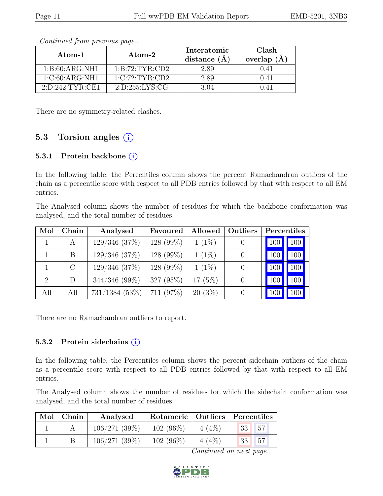| Atom-1              | Atom-2             | Interatomic<br>distance $(A)$ | <b>Clash</b><br>overlap $(A)$ |
|---------------------|--------------------|-------------------------------|-------------------------------|
| 1: B:60: ARG:NH1    | 1: B:72: TYR:CD2   | 2.89                          | 0.41                          |
| 1:C:60:ARG:NH1      | 1:C:72:TYR:CD2     | 2.89                          | 0.41                          |
| 2: D: 242: TYR: CE1 | 2: D: 255: LYS: CG | 3.04                          | 0.41                          |

Continued from previous page...

There are no symmetry-related clashes.

## 5.3 Torsion angles  $(i)$

#### 5.3.1 Protein backbone ①

In the following table, the Percentiles column shows the percent Ramachandran outliers of the chain as a percentile score with respect to all PDB entries followed by that with respect to all EM entries.

The Analysed column shows the number of residues for which the backbone conformation was analysed, and the total number of residues.

| Mol            | Chain   | Analysed           | Favoured  | Allowed   | Outliers | Percentiles |                  |
|----------------|---------|--------------------|-----------|-----------|----------|-------------|------------------|
|                | A       | 129/346 (37%)      | 128 (99%) | $1(1\%)$  |          |             | $100$ 100        |
|                | B       | $129/346$ $(37%)$  | 128 (99%) | $1(1\%)$  |          | 100         | 100              |
|                | $\rm C$ | $129/346$ $(37\%)$ | 128 (99%) | $1(1\%)$  |          | 100         | 100              |
| $\overline{2}$ | D       | $344/346$ (99%)    | 327 (95%) | $17(5\%)$ |          | 100         | 100 <sub>1</sub> |
| All            | All     | $731/1384$ (53%)   | 711 (97%) | $20(3\%)$ |          |             | 100              |

There are no Ramachandran outliers to report.

#### 5.3.2 Protein sidechains  $(i)$

In the following table, the Percentiles column shows the percent sidechain outliers of the chain as a percentile score with respect to all PDB entries followed by that with respect to all EM entries.

The Analysed column shows the number of residues for which the sidechain conformation was analysed, and the total number of residues.

| Mol | $\blacksquare$ Chain | Analysed     | Rotameric   Outliers   Percentiles |          |                  |    |
|-----|----------------------|--------------|------------------------------------|----------|------------------|----|
|     |                      | 106/271(39%) | $102(96\%)$                        | $4(4\%)$ | $^{\bullet}33$ . | 57 |
|     |                      | 106/271(39%) | $102(96\%)$                        | $4(4\%)$ | $\overline{33}$  | 57 |

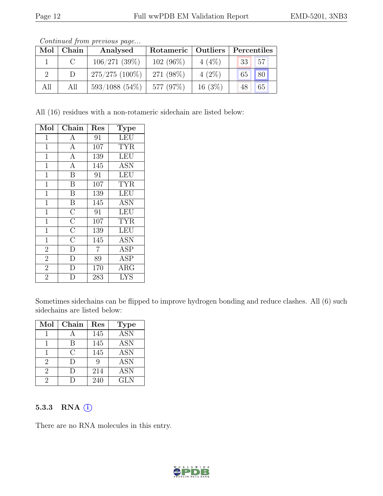| Mol | Chain | Analysed         | Rotameric   Outliers |          | Percentiles |    |
|-----|-------|------------------|----------------------|----------|-------------|----|
|     |       | 106/271(39%)     | $102(96\%)$          | $4(4\%)$ | $\sqrt{33}$ | 57 |
|     |       | $275/275(100\%)$ | 271 (98%)            | $4(2\%)$ | 65 80       |    |
| All | All   | $593/1088$ (54%) | 577 (97%)            | 16(3%)   | 48          | 65 |

Continued from previous page...

All (16) residues with a non-rotameric sidechain are listed below:

| Mol            | ${\rm Chain}$      | $\operatorname{Res}% \left( \mathcal{N}\right) \equiv\operatorname{Res}(\mathcal{N}_{0})\cap\mathcal{N}_{1}$ | Type       |
|----------------|--------------------|--------------------------------------------------------------------------------------------------------------|------------|
| $\mathbf{1}$   | $\boldsymbol{A}$   | 91                                                                                                           | <b>LEU</b> |
| $\mathbf{1}$   | $\overline{A}$     | 107                                                                                                          | <b>TYR</b> |
| $\mathbf{1}$   | $\mathbf{A}$       | 139                                                                                                          | <b>LEU</b> |
| $\mathbf{1}$   | $\boldsymbol{A}$   | 145                                                                                                          | <b>ASN</b> |
| $\mathbf{1}$   | $\overline{B}$     | 91                                                                                                           | <b>LEU</b> |
| $\mathbf{1}$   | $\, {\bf B}$       | 107                                                                                                          | <b>TYR</b> |
| $\mathbf{1}$   | $\overline{B}$     | 139                                                                                                          | <b>LEU</b> |
| $\mathbf{1}$   | $\, {\bf B}$       | 145                                                                                                          | <b>ASN</b> |
| $\mathbf{1}$   | $\overline{\rm C}$ | 91                                                                                                           | <b>LEU</b> |
| $\mathbf{1}$   | $\overline{\rm C}$ | 107                                                                                                          | <b>TYR</b> |
| $\mathbf{1}$   | $\overline{\rm C}$ | 139                                                                                                          | <b>LEU</b> |
| $\mathbf{1}$   | $\overline{\rm C}$ | 145                                                                                                          | <b>ASN</b> |
| $\overline{2}$ | $\mathbf{D}$       | $\overline{7}$                                                                                               | <b>ASP</b> |
| $\overline{2}$ | $\overline{D}$     | 89                                                                                                           | <b>ASP</b> |
| $\overline{2}$ | D                  | 170                                                                                                          | ARG        |
| $\overline{2}$ | D                  | 283                                                                                                          | <b>LYS</b> |

Sometimes sidechains can be flipped to improve hydrogen bonding and reduce clashes. All (6) such sidechains are listed below:

| Mol                         | Chain  | Res | <b>Type</b> |
|-----------------------------|--------|-----|-------------|
|                             |        | 145 | <b>ASN</b>  |
|                             | В      | 145 | <b>ASN</b>  |
|                             | C      | 145 | <b>ASN</b>  |
| 2                           | $\Box$ |     | <b>ASN</b>  |
| $\mathcal{D}_{\mathcal{L}}$ |        | 214 | <b>ASN</b>  |
|                             |        | 240 | <b>GLN</b>  |

#### 5.3.3 RNA  $(i)$

There are no RNA molecules in this entry.

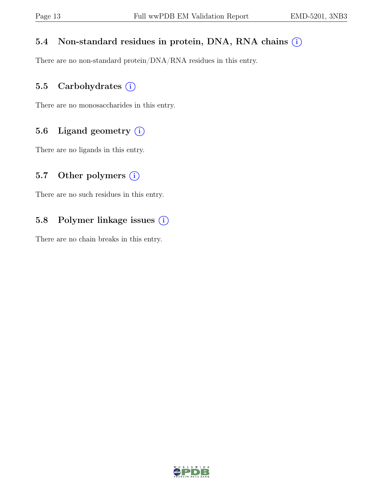## 5.4 Non-standard residues in protein, DNA, RNA chains  $(i)$

There are no non-standard protein/DNA/RNA residues in this entry.

## 5.5 Carbohydrates  $(i)$

There are no monosaccharides in this entry.

### 5.6 Ligand geometry  $(i)$

There are no ligands in this entry.

### 5.7 Other polymers  $(i)$

There are no such residues in this entry.

## 5.8 Polymer linkage issues (i)

There are no chain breaks in this entry.

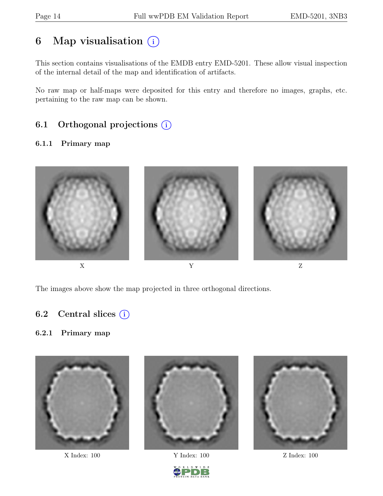## 6 Map visualisation  $(i)$

This section contains visualisations of the EMDB entry EMD-5201. These allow visual inspection of the internal detail of the map and identification of artifacts.

No raw map or half-maps were deposited for this entry and therefore no images, graphs, etc. pertaining to the raw map can be shown.

## 6.1 Orthogonal projections  $(i)$

#### 6.1.1 Primary map



The images above show the map projected in three orthogonal directions.

### 6.2 Central slices  $(i)$

#### 6.2.1 Primary map



X Index: 100 Y Index: 100 Z Index: 100





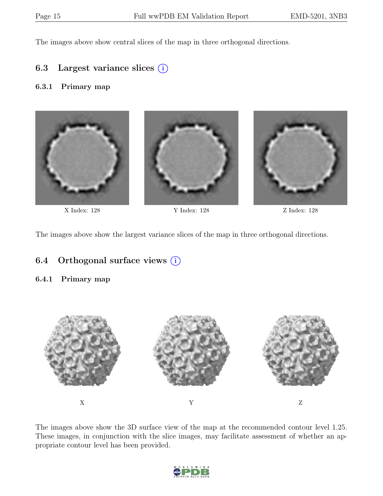The images above show central slices of the map in three orthogonal directions.

### 6.3 Largest variance slices  $(i)$

#### 6.3.1 Primary map



X Index: 128 Y Index: 128 Z Index: 128

The images above show the largest variance slices of the map in three orthogonal directions.

### 6.4 Orthogonal surface views  $(i)$

#### 6.4.1 Primary map



The images above show the 3D surface view of the map at the recommended contour level 1.25. These images, in conjunction with the slice images, may facilitate assessment of whether an appropriate contour level has been provided.

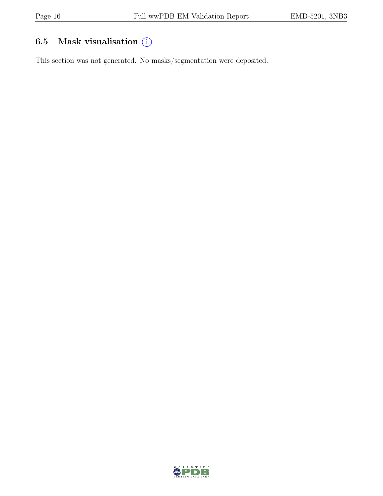## 6.5 Mask visualisation  $(i)$

This section was not generated. No masks/segmentation were deposited.

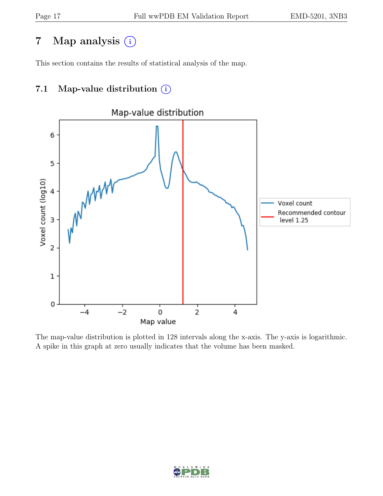## 7 Map analysis (i)

This section contains the results of statistical analysis of the map.

## 7.1 Map-value distribution  $(i)$



The map-value distribution is plotted in 128 intervals along the x-axis. The y-axis is logarithmic. A spike in this graph at zero usually indicates that the volume has been masked.

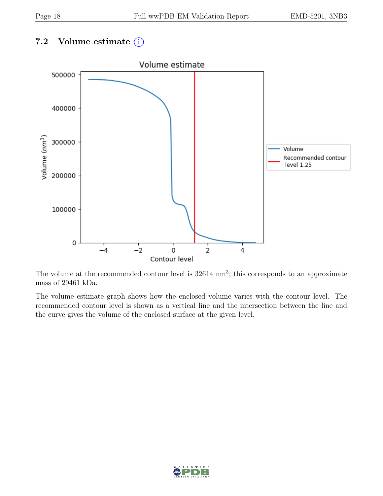## 7.2 Volume estimate  $(i)$



The volume at the recommended contour level is  $32614 \text{ nm}^3$ ; this corresponds to an approximate mass of 29461 kDa.

The volume estimate graph shows how the enclosed volume varies with the contour level. The recommended contour level is shown as a vertical line and the intersection between the line and the curve gives the volume of the enclosed surface at the given level.

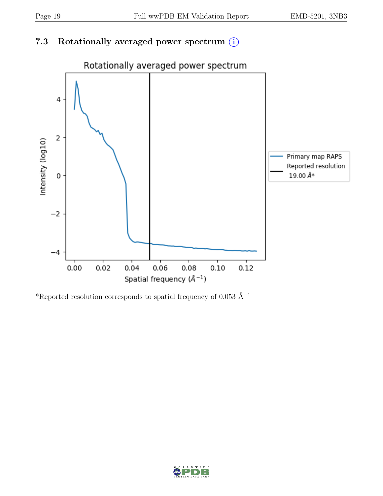## 7.3 Rotationally averaged power spectrum  $(i)$



\*Reported resolution corresponds to spatial frequency of 0.053 Å<sup>-1</sup>

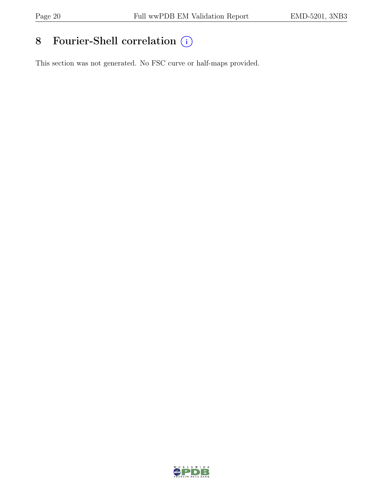# 8 Fourier-Shell correlation  $\bigcirc$

This section was not generated. No FSC curve or half-maps provided.

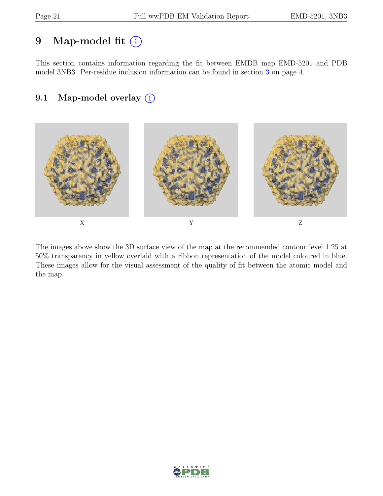## 9 Map-model fit  $(i)$

This section contains information regarding the fit between EMDB map EMD-5201 and PDB model 3NB3. Per-residue inclusion information can be found in section [3](#page-3-0) on page [4.](#page-3-0)

## 9.1 Map-model overlay (i)



The images above show the 3D surface view of the map at the recommended contour level 1.25 at 50% transparency in yellow overlaid with a ribbon representation of the model coloured in blue. These images allow for the visual assessment of the quality of fit between the atomic model and the map.